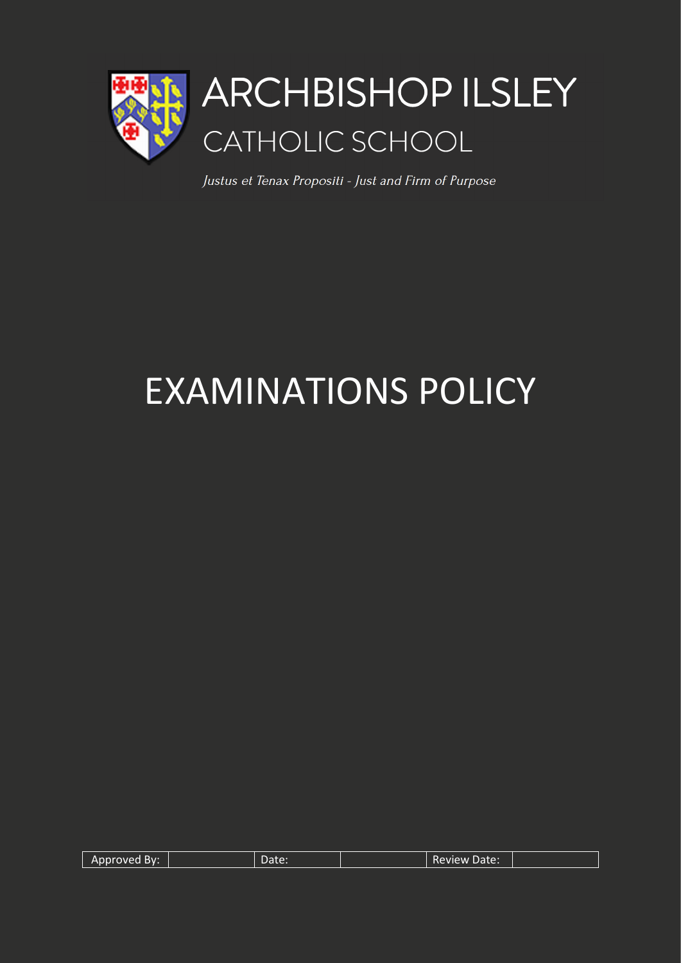

Justus et Tenax Propositi - Just and Firm of Purpose

# EXAMINATIONS POLICY

| Approved By: | Date: | <b>Review Date:</b> |  |
|--------------|-------|---------------------|--|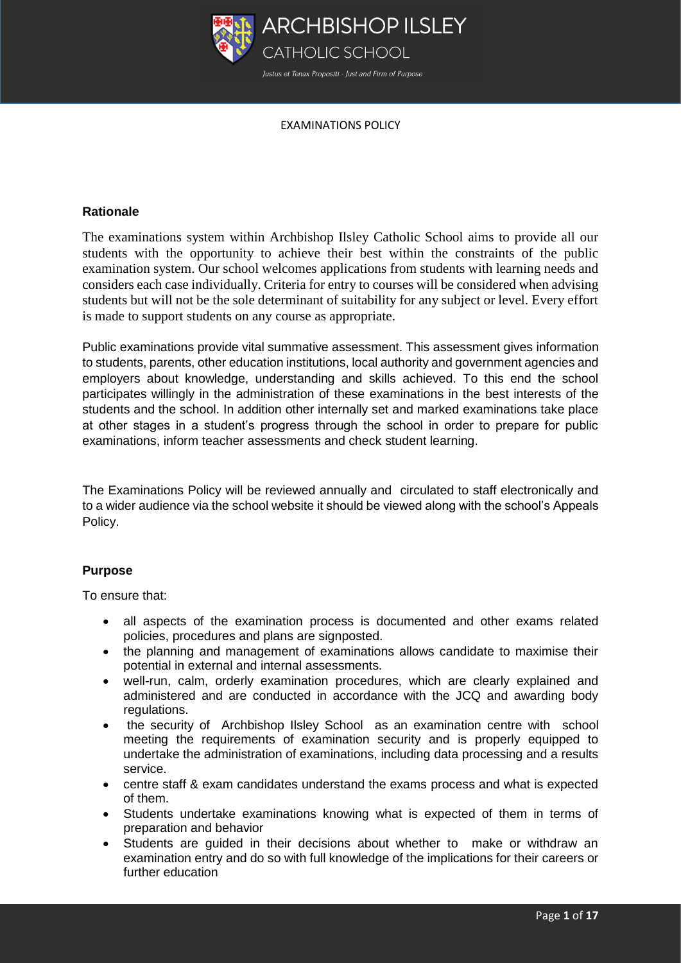

# **Rationale**

The examinations system within Archbishop Ilsley Catholic School aims to provide all our students with the opportunity to achieve their best within the constraints of the public examination system. Our school welcomes applications from students with learning needs and considers each case individually. Criteria for entry to courses will be considered when advising students but will not be the sole determinant of suitability for any subject or level. Every effort is made to support students on any course as appropriate.

Public examinations provide vital summative assessment. This assessment gives information to students, parents, other education institutions, local authority and government agencies and employers about knowledge, understanding and skills achieved. To this end the school participates willingly in the administration of these examinations in the best interests of the students and the school. In addition other internally set and marked examinations take place at other stages in a student's progress through the school in order to prepare for public examinations, inform teacher assessments and check student learning.

The Examinations Policy will be reviewed annually and circulated to staff electronically and to a wider audience via the school website it should be viewed along with the school's Appeals Policy.

# **Purpose**

To ensure that:

- all aspects of the examination process is documented and other exams related policies, procedures and plans are signposted.
- the planning and management of examinations allows candidate to maximise their potential in external and internal assessments.
- well-run, calm, orderly examination procedures, which are clearly explained and administered and are conducted in accordance with the JCQ and awarding body regulations.
- the security of Archbishop Ilsley School as an examination centre with school meeting the requirements of examination security and is properly equipped to undertake the administration of examinations, including data processing and a results service.
- centre staff & exam candidates understand the exams process and what is expected of them.
- Students undertake examinations knowing what is expected of them in terms of preparation and behavior
- Students are guided in their decisions about whether to make or withdraw an examination entry and do so with full knowledge of the implications for their careers or further education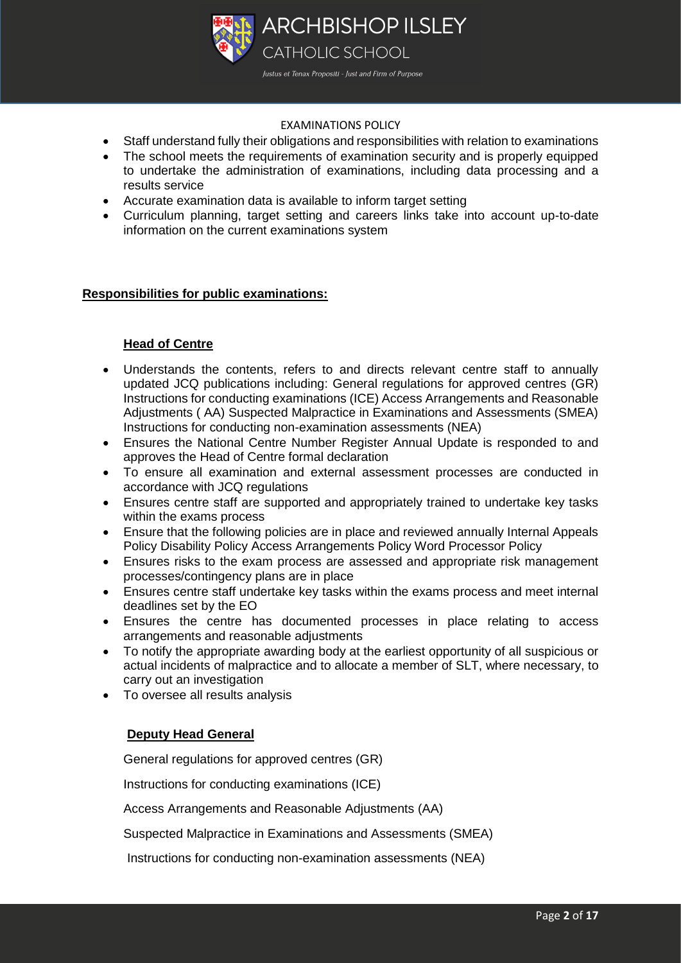

- Staff understand fully their obligations and responsibilities with relation to examinations
- The school meets the requirements of examination security and is properly equipped to undertake the administration of examinations, including data processing and a results service
- Accurate examination data is available to inform target setting
- Curriculum planning, target setting and careers links take into account up-to-date information on the current examinations system

# **Responsibilities for public examinations:**

# **Head of Centre**

- Understands the contents, refers to and directs relevant centre staff to annually updated JCQ publications including: General regulations for approved centres (GR) Instructions for conducting examinations (ICE) Access Arrangements and Reasonable Adjustments ( AA) Suspected Malpractice in Examinations and Assessments (SMEA) Instructions for conducting non-examination assessments (NEA)
- Ensures the National Centre Number Register Annual Update is responded to and approves the Head of Centre formal declaration
- To ensure all examination and external assessment processes are conducted in accordance with JCQ regulations
- Ensures centre staff are supported and appropriately trained to undertake key tasks within the exams process
- Ensure that the following policies are in place and reviewed annually Internal Appeals Policy Disability Policy Access Arrangements Policy Word Processor Policy
- Ensures risks to the exam process are assessed and appropriate risk management processes/contingency plans are in place
- Ensures centre staff undertake key tasks within the exams process and meet internal deadlines set by the EO
- Ensures the centre has documented processes in place relating to access arrangements and reasonable adjustments
- To notify the appropriate awarding body at the earliest opportunity of all suspicious or actual incidents of malpractice and to allocate a member of SLT, where necessary, to carry out an investigation
- To oversee all results analysis

# **Deputy Head General**

General regulations for approved centres (GR)

Instructions for conducting examinations (ICE)

Access Arrangements and Reasonable Adjustments (AA)

Suspected Malpractice in Examinations and Assessments (SMEA)

Instructions for conducting non-examination assessments (NEA)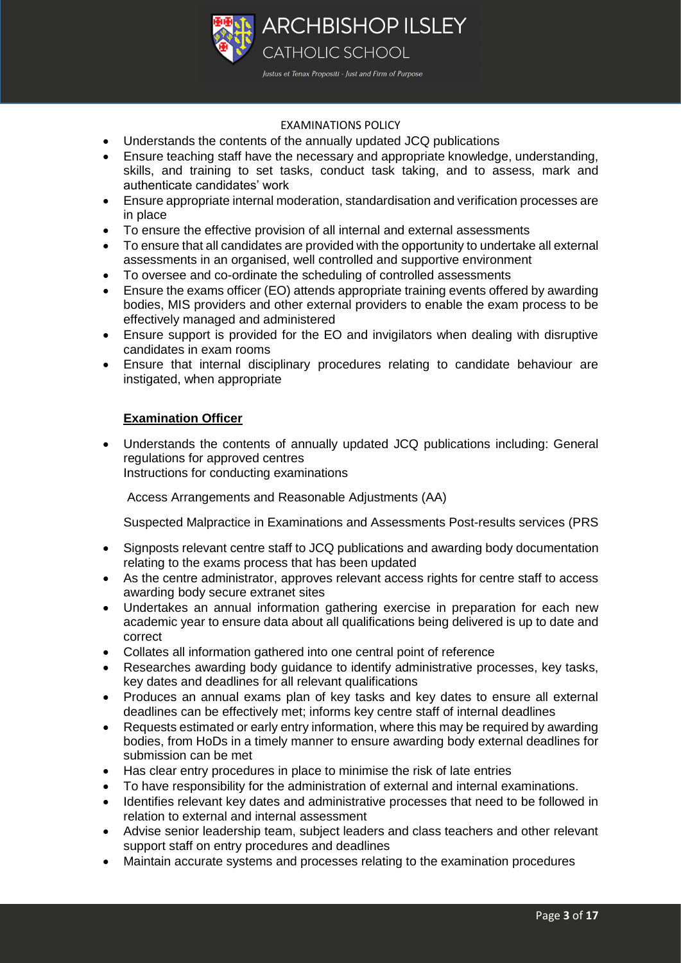

- Understands the contents of the annually updated JCQ publications
- Ensure teaching staff have the necessary and appropriate knowledge, understanding, skills, and training to set tasks, conduct task taking, and to assess, mark and authenticate candidates' work
- Ensure appropriate internal moderation, standardisation and verification processes are in place
- To ensure the effective provision of all internal and external assessments
- To ensure that all candidates are provided with the opportunity to undertake all external assessments in an organised, well controlled and supportive environment
- To oversee and co-ordinate the scheduling of controlled assessments
- Ensure the exams officer (EO) attends appropriate training events offered by awarding bodies, MIS providers and other external providers to enable the exam process to be effectively managed and administered
- Ensure support is provided for the EO and invigilators when dealing with disruptive candidates in exam rooms
- Ensure that internal disciplinary procedures relating to candidate behaviour are instigated, when appropriate

# **Examination Officer**

 Understands the contents of annually updated JCQ publications including: General regulations for approved centres Instructions for conducting examinations

Access Arrangements and Reasonable Adjustments (AA)

Suspected Malpractice in Examinations and Assessments Post-results services (PRS

- Signposts relevant centre staff to JCQ publications and awarding body documentation relating to the exams process that has been updated
- As the centre administrator, approves relevant access rights for centre staff to access awarding body secure extranet sites
- Undertakes an annual information gathering exercise in preparation for each new academic year to ensure data about all qualifications being delivered is up to date and correct
- Collates all information gathered into one central point of reference
- Researches awarding body guidance to identify administrative processes, key tasks, key dates and deadlines for all relevant qualifications
- Produces an annual exams plan of key tasks and key dates to ensure all external deadlines can be effectively met; informs key centre staff of internal deadlines
- Requests estimated or early entry information, where this may be required by awarding bodies, from HoDs in a timely manner to ensure awarding body external deadlines for submission can be met
- Has clear entry procedures in place to minimise the risk of late entries
- To have responsibility for the administration of external and internal examinations.
- Identifies relevant key dates and administrative processes that need to be followed in relation to external and internal assessment
- Advise senior leadership team, subject leaders and class teachers and other relevant support staff on entry procedures and deadlines
- Maintain accurate systems and processes relating to the examination procedures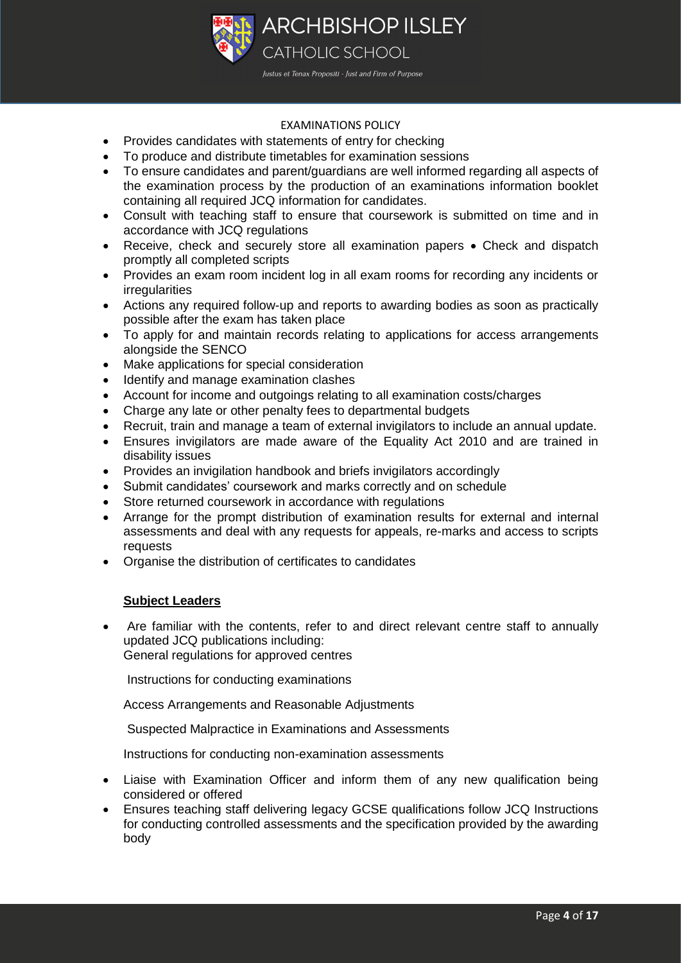

- Provides candidates with statements of entry for checking
- To produce and distribute timetables for examination sessions
- To ensure candidates and parent/guardians are well informed regarding all aspects of the examination process by the production of an examinations information booklet containing all required JCQ information for candidates.
- Consult with teaching staff to ensure that coursework is submitted on time and in accordance with JCQ regulations
- Receive, check and securely store all examination papers Check and dispatch promptly all completed scripts
- Provides an exam room incident log in all exam rooms for recording any incidents or irregularities
- Actions any required follow-up and reports to awarding bodies as soon as practically possible after the exam has taken place
- To apply for and maintain records relating to applications for access arrangements alongside the SENCO
- Make applications for special consideration
- Identify and manage examination clashes
- Account for income and outgoings relating to all examination costs/charges
- Charge any late or other penalty fees to departmental budgets
- Recruit, train and manage a team of external invigilators to include an annual update.
- Ensures invigilators are made aware of the Equality Act 2010 and are trained in disability issues
- Provides an invigilation handbook and briefs invigilators accordingly
- Submit candidates' coursework and marks correctly and on schedule
- Store returned coursework in accordance with regulations
- Arrange for the prompt distribution of examination results for external and internal assessments and deal with any requests for appeals, re-marks and access to scripts requests
- Organise the distribution of certificates to candidates

#### **Subject Leaders**

 Are familiar with the contents, refer to and direct relevant centre staff to annually updated JCQ publications including: General regulations for approved centres

Instructions for conducting examinations

Access Arrangements and Reasonable Adjustments

Suspected Malpractice in Examinations and Assessments

Instructions for conducting non-examination assessments

- Liaise with Examination Officer and inform them of any new qualification being considered or offered
- Ensures teaching staff delivering legacy GCSE qualifications follow JCQ Instructions for conducting controlled assessments and the specification provided by the awarding body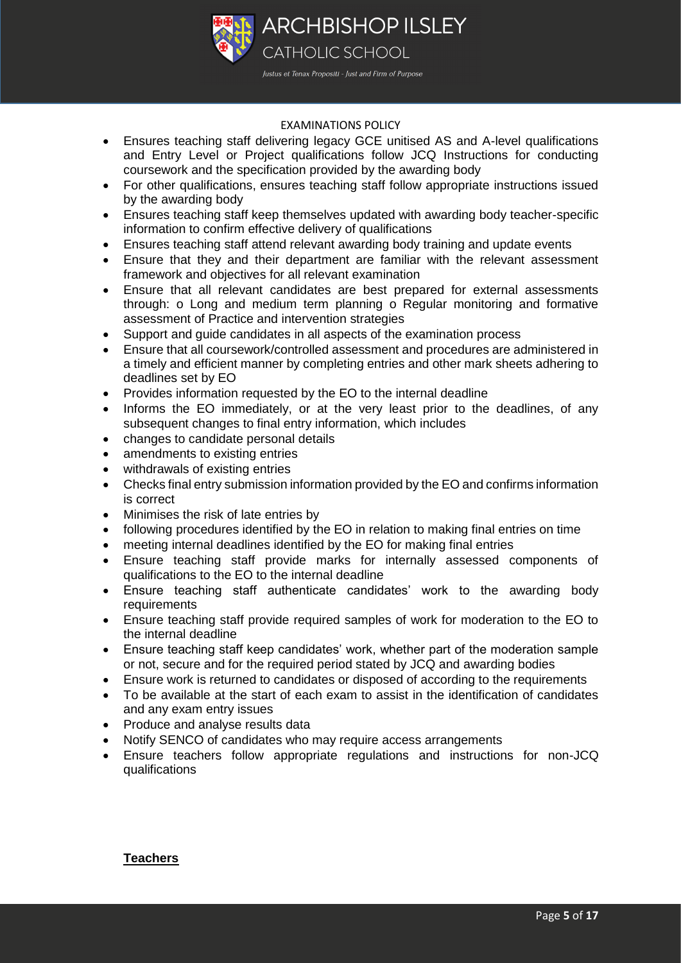

- Ensures teaching staff delivering legacy GCE unitised AS and A-level qualifications and Entry Level or Project qualifications follow JCQ Instructions for conducting coursework and the specification provided by the awarding body
- For other qualifications, ensures teaching staff follow appropriate instructions issued by the awarding body
- Ensures teaching staff keep themselves updated with awarding body teacher-specific information to confirm effective delivery of qualifications
- Ensures teaching staff attend relevant awarding body training and update events
- Ensure that they and their department are familiar with the relevant assessment framework and objectives for all relevant examination
- Ensure that all relevant candidates are best prepared for external assessments through: o Long and medium term planning o Regular monitoring and formative assessment of Practice and intervention strategies
- Support and guide candidates in all aspects of the examination process
- Ensure that all coursework/controlled assessment and procedures are administered in a timely and efficient manner by completing entries and other mark sheets adhering to deadlines set by EO
- Provides information requested by the EO to the internal deadline
- Informs the EO immediately, or at the very least prior to the deadlines, of any subsequent changes to final entry information, which includes
- changes to candidate personal details
- amendments to existing entries
- withdrawals of existing entries
- Checks final entry submission information provided by the EO and confirms information is correct
- Minimises the risk of late entries by
- following procedures identified by the EO in relation to making final entries on time
- meeting internal deadlines identified by the EO for making final entries
- Ensure teaching staff provide marks for internally assessed components of qualifications to the EO to the internal deadline
- Ensure teaching staff authenticate candidates' work to the awarding body requirements
- Ensure teaching staff provide required samples of work for moderation to the EO to the internal deadline
- Ensure teaching staff keep candidates' work, whether part of the moderation sample or not, secure and for the required period stated by JCQ and awarding bodies
- Ensure work is returned to candidates or disposed of according to the requirements
- To be available at the start of each exam to assist in the identification of candidates and any exam entry issues
- Produce and analyse results data
- Notify SENCO of candidates who may require access arrangements
- Ensure teachers follow appropriate regulations and instructions for non-JCQ qualifications

#### **Teachers**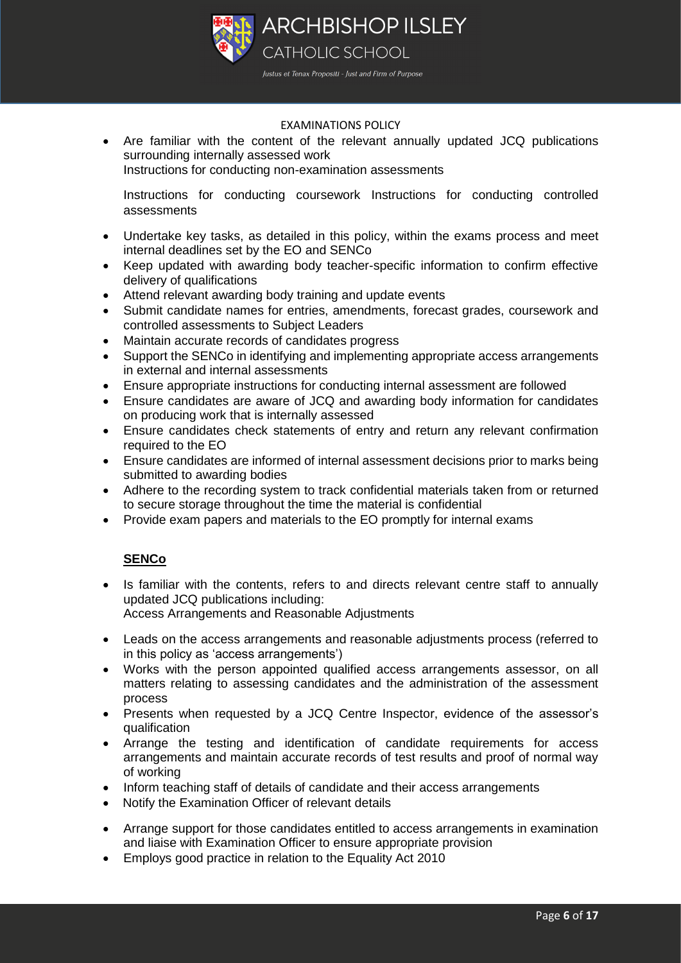

 Are familiar with the content of the relevant annually updated JCQ publications surrounding internally assessed work

Instructions for conducting non-examination assessments

Instructions for conducting coursework Instructions for conducting controlled assessments

- Undertake key tasks, as detailed in this policy, within the exams process and meet internal deadlines set by the EO and SENCo
- Keep updated with awarding body teacher-specific information to confirm effective delivery of qualifications
- Attend relevant awarding body training and update events
- Submit candidate names for entries, amendments, forecast grades, coursework and controlled assessments to Subject Leaders
- Maintain accurate records of candidates progress
- Support the SENCo in identifying and implementing appropriate access arrangements in external and internal assessments
- Ensure appropriate instructions for conducting internal assessment are followed
- Ensure candidates are aware of JCQ and awarding body information for candidates on producing work that is internally assessed
- Ensure candidates check statements of entry and return any relevant confirmation required to the EO
- Ensure candidates are informed of internal assessment decisions prior to marks being submitted to awarding bodies
- Adhere to the recording system to track confidential materials taken from or returned to secure storage throughout the time the material is confidential
- Provide exam papers and materials to the EO promptly for internal exams

# **SENCo**

- Is familiar with the contents, refers to and directs relevant centre staff to annually updated JCQ publications including: Access Arrangements and Reasonable Adjustments
- Leads on the access arrangements and reasonable adjustments process (referred to in this policy as 'access arrangements')
- Works with the person appointed qualified access arrangements assessor, on all matters relating to assessing candidates and the administration of the assessment process
- Presents when requested by a JCQ Centre Inspector, evidence of the assessor's qualification
- Arrange the testing and identification of candidate requirements for access arrangements and maintain accurate records of test results and proof of normal way of working
- Inform teaching staff of details of candidate and their access arrangements
- Notify the Examination Officer of relevant details
- Arrange support for those candidates entitled to access arrangements in examination and liaise with Examination Officer to ensure appropriate provision
- Employs good practice in relation to the Equality Act 2010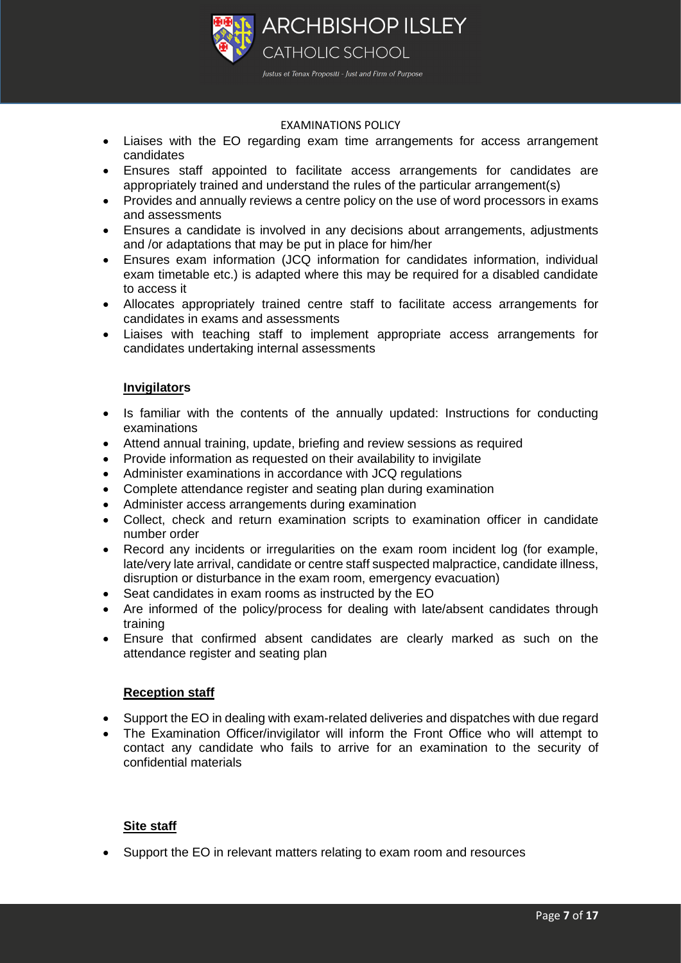

- Liaises with the EO regarding exam time arrangements for access arrangement candidates
- Ensures staff appointed to facilitate access arrangements for candidates are appropriately trained and understand the rules of the particular arrangement(s)
- Provides and annually reviews a centre policy on the use of word processors in exams and assessments
- Ensures a candidate is involved in any decisions about arrangements, adjustments and /or adaptations that may be put in place for him/her
- Ensures exam information (JCQ information for candidates information, individual exam timetable etc.) is adapted where this may be required for a disabled candidate to access it
- Allocates appropriately trained centre staff to facilitate access arrangements for candidates in exams and assessments
- Liaises with teaching staff to implement appropriate access arrangements for candidates undertaking internal assessments

## **Invigilators**

- Is familiar with the contents of the annually updated: Instructions for conducting examinations
- Attend annual training, update, briefing and review sessions as required
- Provide information as requested on their availability to invigilate
- Administer examinations in accordance with JCQ regulations
- Complete attendance register and seating plan during examination
- Administer access arrangements during examination
- Collect, check and return examination scripts to examination officer in candidate number order
- Record any incidents or irregularities on the exam room incident log (for example, late/very late arrival, candidate or centre staff suspected malpractice, candidate illness, disruption or disturbance in the exam room, emergency evacuation)
- Seat candidates in exam rooms as instructed by the EO
- Are informed of the policy/process for dealing with late/absent candidates through training
- Ensure that confirmed absent candidates are clearly marked as such on the attendance register and seating plan

#### **Reception staff**

- Support the EO in dealing with exam-related deliveries and dispatches with due regard
- The Examination Officer/invigilator will inform the Front Office who will attempt to contact any candidate who fails to arrive for an examination to the security of confidential materials

# **Site staff**

Support the EO in relevant matters relating to exam room and resources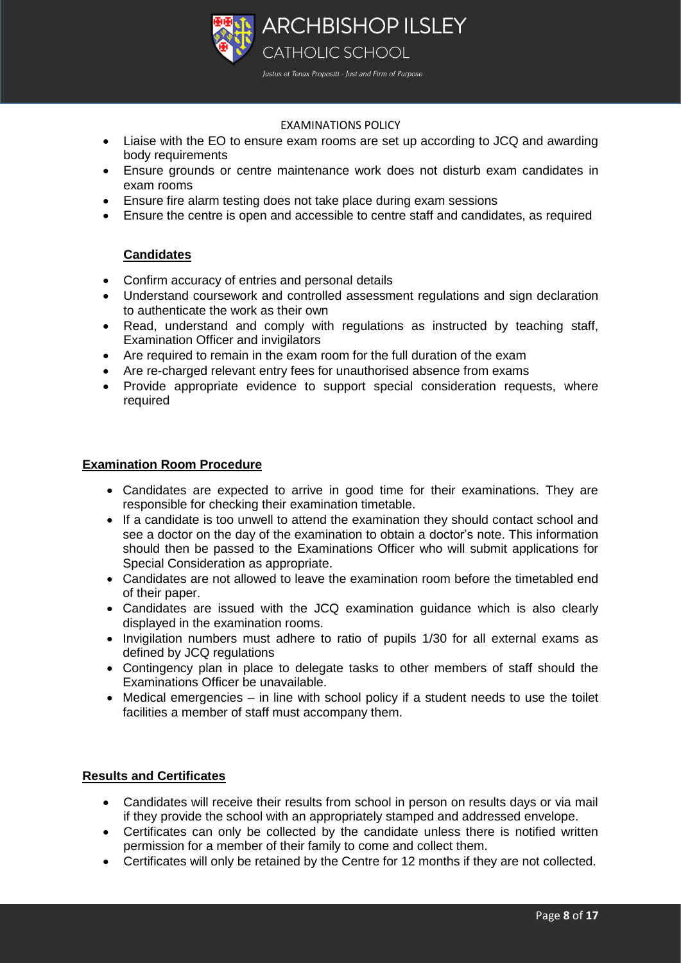

- Liaise with the EO to ensure exam rooms are set up according to JCQ and awarding body requirements
- Ensure grounds or centre maintenance work does not disturb exam candidates in exam rooms
- Ensure fire alarm testing does not take place during exam sessions
- Ensure the centre is open and accessible to centre staff and candidates, as required

# **Candidates**

- Confirm accuracy of entries and personal details
- Understand coursework and controlled assessment regulations and sign declaration to authenticate the work as their own
- Read, understand and comply with regulations as instructed by teaching staff, Examination Officer and invigilators
- Are required to remain in the exam room for the full duration of the exam
- Are re-charged relevant entry fees for unauthorised absence from exams
- Provide appropriate evidence to support special consideration requests, where required

## **Examination Room Procedure**

- Candidates are expected to arrive in good time for their examinations. They are responsible for checking their examination timetable.
- If a candidate is too unwell to attend the examination they should contact school and see a doctor on the day of the examination to obtain a doctor's note. This information should then be passed to the Examinations Officer who will submit applications for Special Consideration as appropriate.
- Candidates are not allowed to leave the examination room before the timetabled end of their paper.
- Candidates are issued with the JCQ examination guidance which is also clearly displayed in the examination rooms.
- Invigilation numbers must adhere to ratio of pupils 1/30 for all external exams as defined by JCQ regulations
- Contingency plan in place to delegate tasks to other members of staff should the Examinations Officer be unavailable.
- Medical emergencies in line with school policy if a student needs to use the toilet facilities a member of staff must accompany them.

#### **Results and Certificates**

- Candidates will receive their results from school in person on results days or via mail if they provide the school with an appropriately stamped and addressed envelope.
- Certificates can only be collected by the candidate unless there is notified written permission for a member of their family to come and collect them.
- Certificates will only be retained by the Centre for 12 months if they are not collected.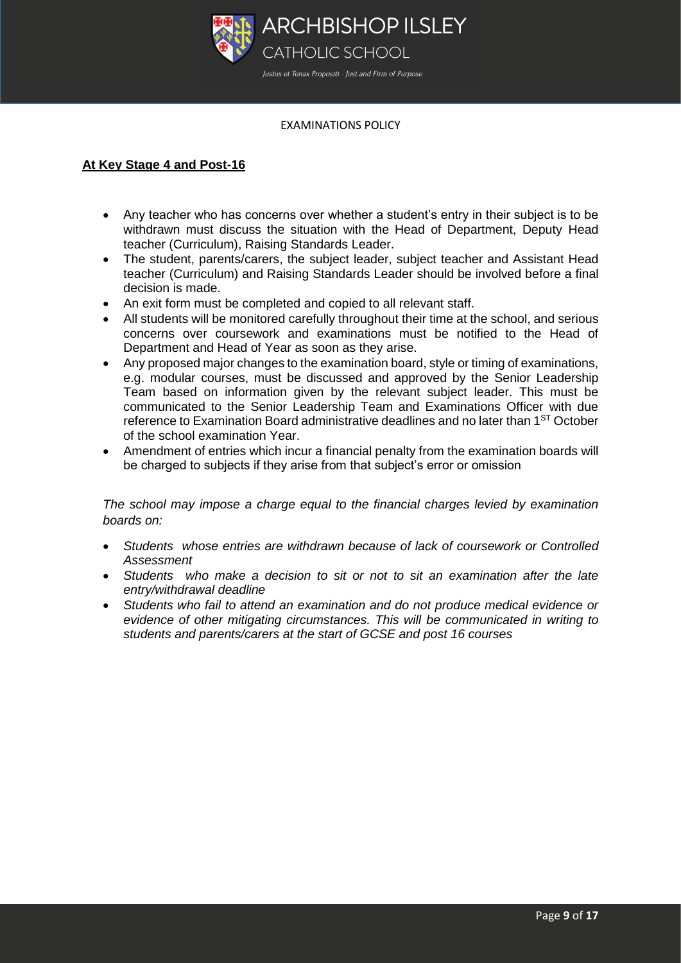

# **At Key Stage 4 and Post-16**

- Any teacher who has concerns over whether a student's entry in their subject is to be withdrawn must discuss the situation with the Head of Department, Deputy Head teacher (Curriculum), Raising Standards Leader.
- The student, parents/carers, the subject leader, subject teacher and Assistant Head teacher (Curriculum) and Raising Standards Leader should be involved before a final decision is made.
- An exit form must be completed and copied to all relevant staff.
- All students will be monitored carefully throughout their time at the school, and serious concerns over coursework and examinations must be notified to the Head of Department and Head of Year as soon as they arise.
- Any proposed major changes to the examination board, style or timing of examinations, e.g. modular courses, must be discussed and approved by the Senior Leadership Team based on information given by the relevant subject leader. This must be communicated to the Senior Leadership Team and Examinations Officer with due reference to Examination Board administrative deadlines and no later than 1ST October of the school examination Year.
- Amendment of entries which incur a financial penalty from the examination boards will be charged to subjects if they arise from that subject's error or omission

*The school may impose a charge equal to the financial charges levied by examination boards on:*

- *Students whose entries are withdrawn because of lack of coursework or Controlled Assessment*
- *Students who make a decision to sit or not to sit an examination after the late entry/withdrawal deadline*
- *Students who fail to attend an examination and do not produce medical evidence or evidence of other mitigating circumstances. This will be communicated in writing to students and parents/carers at the start of GCSE and post 16 courses*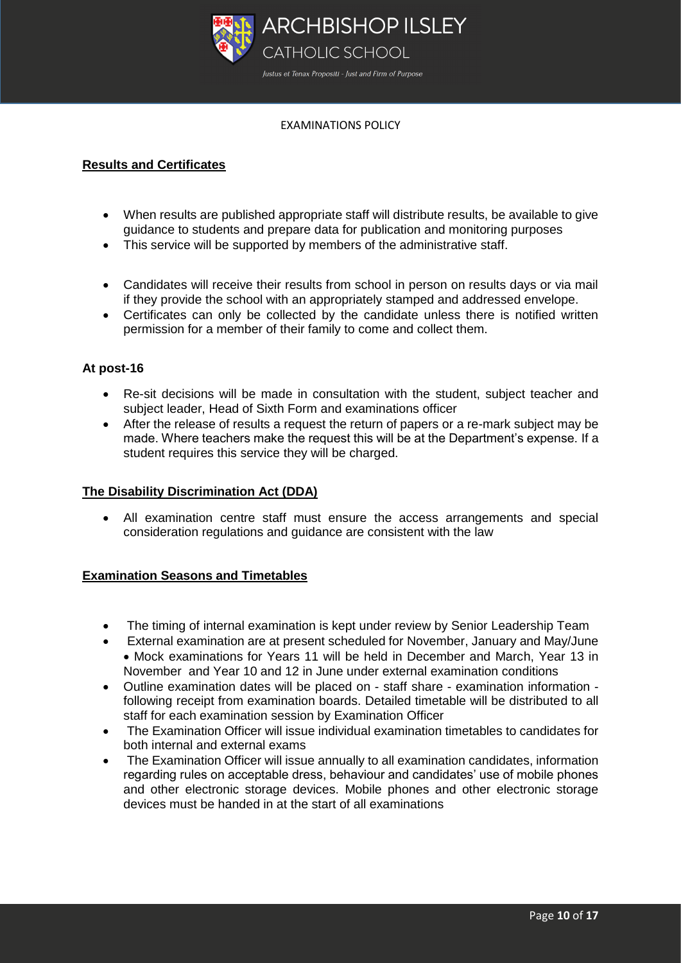

# **Results and Certificates**

- When results are published appropriate staff will distribute results, be available to give guidance to students and prepare data for publication and monitoring purposes
- This service will be supported by members of the administrative staff.
- Candidates will receive their results from school in person on results days or via mail if they provide the school with an appropriately stamped and addressed envelope.
- Certificates can only be collected by the candidate unless there is notified written permission for a member of their family to come and collect them.

# **At post-16**

- Re-sit decisions will be made in consultation with the student, subject teacher and subject leader, Head of Sixth Form and examinations officer
- After the release of results a request the return of papers or a re-mark subject may be made. Where teachers make the request this will be at the Department's expense. If a student requires this service they will be charged.

#### **The Disability Discrimination Act (DDA)**

 All examination centre staff must ensure the access arrangements and special consideration regulations and guidance are consistent with the law

# **Examination Seasons and Timetables**

- The timing of internal examination is kept under review by Senior Leadership Team
- External examination are at present scheduled for November, January and May/June Mock examinations for Years 11 will be held in December and March, Year 13 in November and Year 10 and 12 in June under external examination conditions
- Outline examination dates will be placed on staff share examination information following receipt from examination boards. Detailed timetable will be distributed to all staff for each examination session by Examination Officer
- The Examination Officer will issue individual examination timetables to candidates for both internal and external exams
- The Examination Officer will issue annually to all examination candidates, information regarding rules on acceptable dress, behaviour and candidates' use of mobile phones and other electronic storage devices. Mobile phones and other electronic storage devices must be handed in at the start of all examinations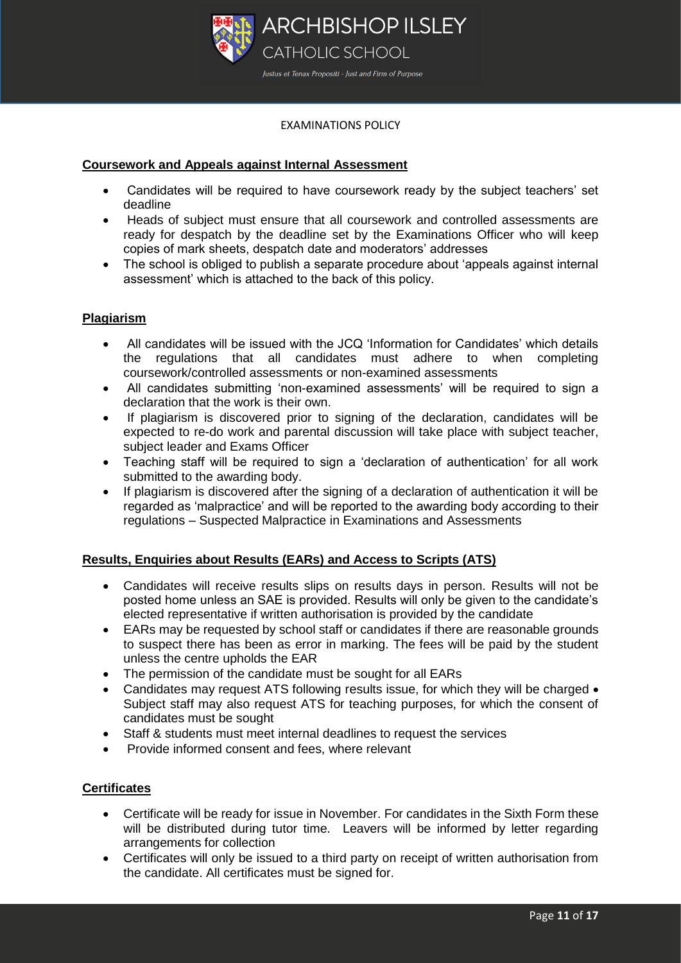

# **Coursework and Appeals against Internal Assessment**

- Candidates will be required to have coursework ready by the subject teachers' set deadline
- Heads of subject must ensure that all coursework and controlled assessments are ready for despatch by the deadline set by the Examinations Officer who will keep copies of mark sheets, despatch date and moderators' addresses
- The school is obliged to publish a separate procedure about 'appeals against internal assessment' which is attached to the back of this policy.

# **Plagiarism**

- All candidates will be issued with the JCQ 'Information for Candidates' which details the regulations that all candidates must adhere to when completing coursework/controlled assessments or non-examined assessments
- All candidates submitting 'non-examined assessments' will be required to sign a declaration that the work is their own.
- If plagiarism is discovered prior to signing of the declaration, candidates will be expected to re-do work and parental discussion will take place with subject teacher, subject leader and Exams Officer
- Teaching staff will be required to sign a 'declaration of authentication' for all work submitted to the awarding body.
- If plagiarism is discovered after the signing of a declaration of authentication it will be regarded as 'malpractice' and will be reported to the awarding body according to their regulations – Suspected Malpractice in Examinations and Assessments

# **Results, Enquiries about Results (EARs) and Access to Scripts (ATS)**

- Candidates will receive results slips on results days in person. Results will not be posted home unless an SAE is provided. Results will only be given to the candidate's elected representative if written authorisation is provided by the candidate
- EARs may be requested by school staff or candidates if there are reasonable grounds to suspect there has been as error in marking. The fees will be paid by the student unless the centre upholds the EAR
- The permission of the candidate must be sought for all EARs
- Candidates may request ATS following results issue, for which they will be charged  $\bullet$ Subject staff may also request ATS for teaching purposes, for which the consent of candidates must be sought
- Staff & students must meet internal deadlines to request the services
- Provide informed consent and fees, where relevant

#### **Certificates**

- Certificate will be ready for issue in November. For candidates in the Sixth Form these will be distributed during tutor time. Leavers will be informed by letter regarding arrangements for collection
- Certificates will only be issued to a third party on receipt of written authorisation from the candidate. All certificates must be signed for.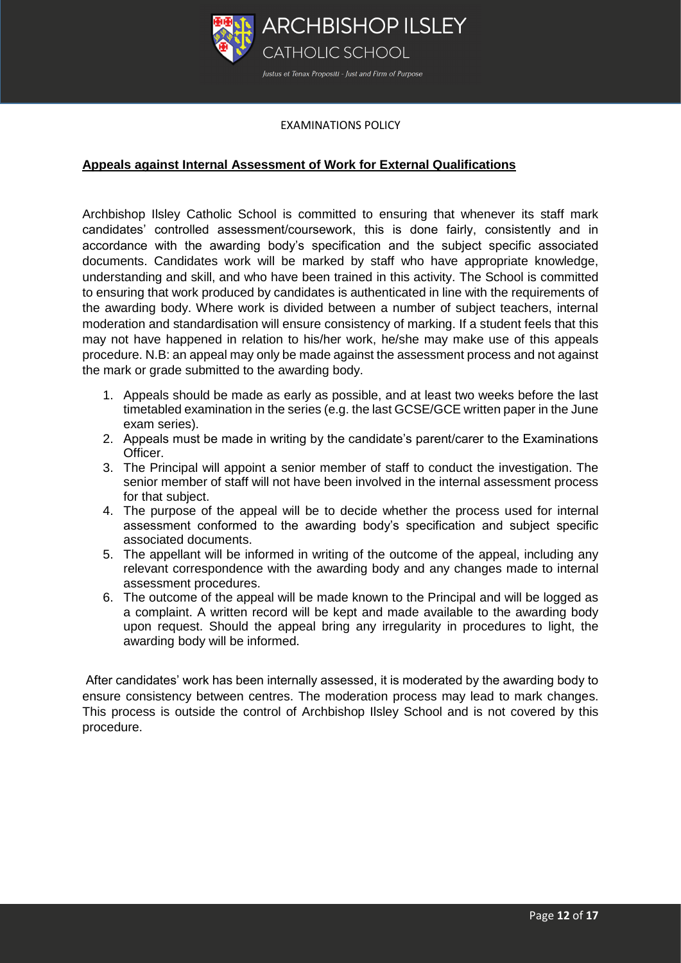

# **Appeals against Internal Assessment of Work for External Qualifications**

Archbishop Ilsley Catholic School is committed to ensuring that whenever its staff mark candidates' controlled assessment/coursework, this is done fairly, consistently and in accordance with the awarding body's specification and the subject specific associated documents. Candidates work will be marked by staff who have appropriate knowledge, understanding and skill, and who have been trained in this activity. The School is committed to ensuring that work produced by candidates is authenticated in line with the requirements of the awarding body. Where work is divided between a number of subject teachers, internal moderation and standardisation will ensure consistency of marking. If a student feels that this may not have happened in relation to his/her work, he/she may make use of this appeals procedure. N.B: an appeal may only be made against the assessment process and not against the mark or grade submitted to the awarding body.

- 1. Appeals should be made as early as possible, and at least two weeks before the last timetabled examination in the series (e.g. the last GCSE/GCE written paper in the June exam series).
- 2. Appeals must be made in writing by the candidate's parent/carer to the Examinations Officer.
- 3. The Principal will appoint a senior member of staff to conduct the investigation. The senior member of staff will not have been involved in the internal assessment process for that subject.
- 4. The purpose of the appeal will be to decide whether the process used for internal assessment conformed to the awarding body's specification and subject specific associated documents.
- 5. The appellant will be informed in writing of the outcome of the appeal, including any relevant correspondence with the awarding body and any changes made to internal assessment procedures.
- 6. The outcome of the appeal will be made known to the Principal and will be logged as a complaint. A written record will be kept and made available to the awarding body upon request. Should the appeal bring any irregularity in procedures to light, the awarding body will be informed.

After candidates' work has been internally assessed, it is moderated by the awarding body to ensure consistency between centres. The moderation process may lead to mark changes. This process is outside the control of Archbishop Ilsley School and is not covered by this procedure.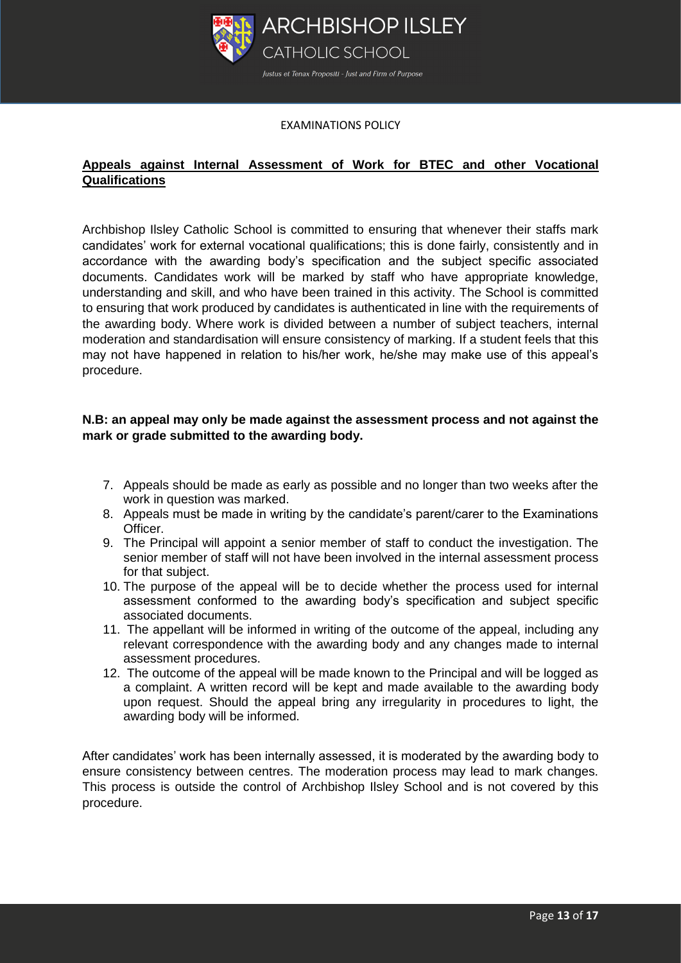

# **Appeals against Internal Assessment of Work for BTEC and other Vocational Qualifications**

Archbishop Ilsley Catholic School is committed to ensuring that whenever their staffs mark candidates' work for external vocational qualifications; this is done fairly, consistently and in accordance with the awarding body's specification and the subject specific associated documents. Candidates work will be marked by staff who have appropriate knowledge, understanding and skill, and who have been trained in this activity. The School is committed to ensuring that work produced by candidates is authenticated in line with the requirements of the awarding body. Where work is divided between a number of subject teachers, internal moderation and standardisation will ensure consistency of marking. If a student feels that this may not have happened in relation to his/her work, he/she may make use of this appeal's procedure.

## **N.B: an appeal may only be made against the assessment process and not against the mark or grade submitted to the awarding body.**

- 7. Appeals should be made as early as possible and no longer than two weeks after the work in question was marked.
- 8. Appeals must be made in writing by the candidate's parent/carer to the Examinations Officer.
- 9. The Principal will appoint a senior member of staff to conduct the investigation. The senior member of staff will not have been involved in the internal assessment process for that subject.
- 10. The purpose of the appeal will be to decide whether the process used for internal assessment conformed to the awarding body's specification and subject specific associated documents.
- 11. The appellant will be informed in writing of the outcome of the appeal, including any relevant correspondence with the awarding body and any changes made to internal assessment procedures.
- 12. The outcome of the appeal will be made known to the Principal and will be logged as a complaint. A written record will be kept and made available to the awarding body upon request. Should the appeal bring any irregularity in procedures to light, the awarding body will be informed.

After candidates' work has been internally assessed, it is moderated by the awarding body to ensure consistency between centres. The moderation process may lead to mark changes. This process is outside the control of Archbishop Ilsley School and is not covered by this procedure.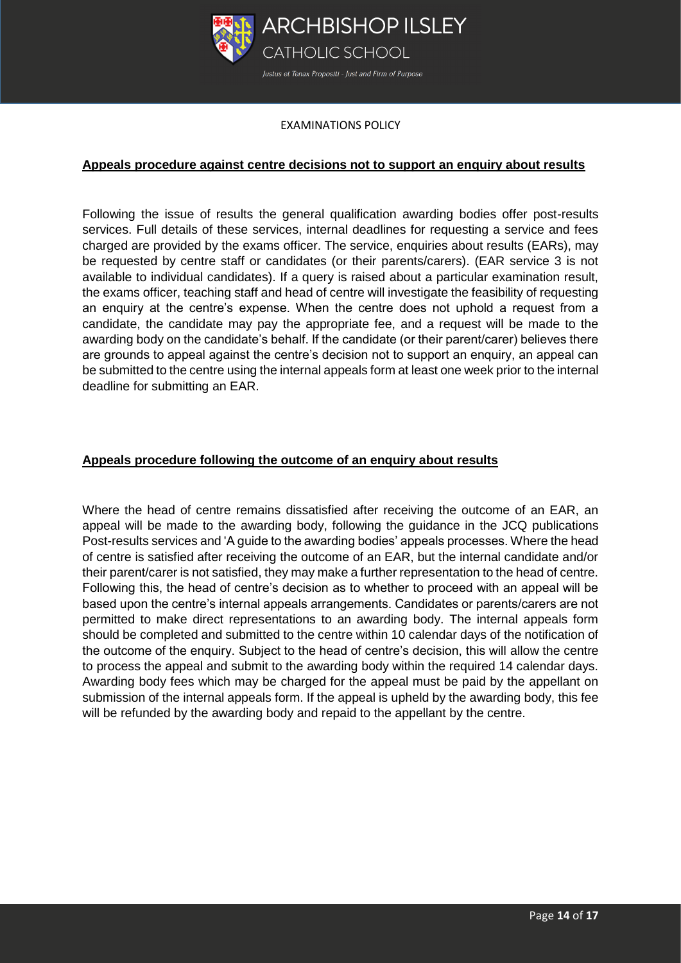

## **Appeals procedure against centre decisions not to support an enquiry about results**

Following the issue of results the general qualification awarding bodies offer post-results services. Full details of these services, internal deadlines for requesting a service and fees charged are provided by the exams officer. The service, enquiries about results (EARs), may be requested by centre staff or candidates (or their parents/carers). (EAR service 3 is not available to individual candidates). If a query is raised about a particular examination result, the exams officer, teaching staff and head of centre will investigate the feasibility of requesting an enquiry at the centre's expense. When the centre does not uphold a request from a candidate, the candidate may pay the appropriate fee, and a request will be made to the awarding body on the candidate's behalf. If the candidate (or their parent/carer) believes there are grounds to appeal against the centre's decision not to support an enquiry, an appeal can be submitted to the centre using the internal appeals form at least one week prior to the internal deadline for submitting an EAR.

## **Appeals procedure following the outcome of an enquiry about results**

Where the head of centre remains dissatisfied after receiving the outcome of an EAR, an appeal will be made to the awarding body, following the guidance in the JCQ publications Post-results services and 'A guide to the awarding bodies' appeals processes. Where the head of centre is satisfied after receiving the outcome of an EAR, but the internal candidate and/or their parent/carer is not satisfied, they may make a further representation to the head of centre. Following this, the head of centre's decision as to whether to proceed with an appeal will be based upon the centre's internal appeals arrangements. Candidates or parents/carers are not permitted to make direct representations to an awarding body. The internal appeals form should be completed and submitted to the centre within 10 calendar days of the notification of the outcome of the enquiry. Subject to the head of centre's decision, this will allow the centre to process the appeal and submit to the awarding body within the required 14 calendar days. Awarding body fees which may be charged for the appeal must be paid by the appellant on submission of the internal appeals form. If the appeal is upheld by the awarding body, this fee will be refunded by the awarding body and repaid to the appellant by the centre.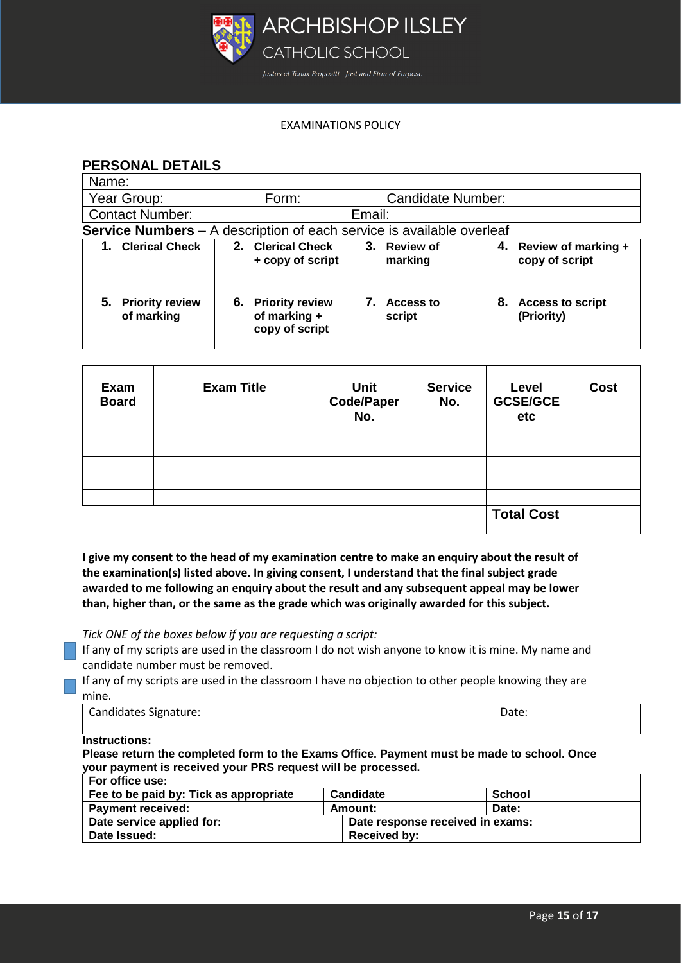

# **PERSONAL DETAILS**

| Name:                                                                 |                                                      |                                   |                                             |  |  |  |
|-----------------------------------------------------------------------|------------------------------------------------------|-----------------------------------|---------------------------------------------|--|--|--|
| Year Group:                                                           | Form:                                                | <b>Candidate Number:</b>          |                                             |  |  |  |
| <b>Contact Number:</b>                                                |                                                      | Email:                            |                                             |  |  |  |
| Service Numbers - A description of each service is available overleaf |                                                      |                                   |                                             |  |  |  |
| 1. Clerical Check                                                     | 2. Clerical Check<br>+ copy of script                | 3.<br><b>Review of</b><br>marking | 4. Review of marking +<br>copy of script    |  |  |  |
| 5. Priority review<br>of marking                                      | 6. Priority review<br>of marking +<br>copy of script | <b>Access to</b><br>script        | <b>Access to script</b><br>8.<br>(Priority) |  |  |  |

| Exam<br><b>Board</b> | <b>Exam Title</b> | <b>Unit</b><br>Code/Paper<br>No. | <b>Service</b><br>No. | Level<br><b>GCSE/GCE</b><br>etc | <b>Cost</b> |
|----------------------|-------------------|----------------------------------|-----------------------|---------------------------------|-------------|
|                      |                   |                                  |                       |                                 |             |
|                      |                   |                                  |                       |                                 |             |
|                      |                   |                                  |                       |                                 |             |
|                      |                   |                                  |                       |                                 |             |
|                      |                   |                                  |                       |                                 |             |
|                      |                   |                                  |                       | <b>Total Cost</b>               |             |

**I give my consent to the head of my examination centre to make an enquiry about the result of the examination(s) listed above. In giving consent, I understand that the final subject grade awarded to me following an enquiry about the result and any subsequent appeal may be lower than, higher than, or the same as the grade which was originally awarded for this subject.**

*Tick ONE of the boxes below if you are requesting a script:*

If any of my scripts are used in the classroom I do not wish anyone to know it is mine. My name and candidate number must be removed.

If any of my scripts are used in the classroom I have no objection to other people knowing they are mine.

| Candidates Signature: | Date: |
|-----------------------|-------|
|                       |       |

**Instructions:**

**Please return the completed form to the Exams Office. Payment must be made to school. Once your payment is received your PRS request will be processed.**

| For office use:                        |         |                                  |        |
|----------------------------------------|---------|----------------------------------|--------|
| Fee to be paid by: Tick as appropriate |         | Candidate                        | School |
| <b>Payment received:</b>               | Amount: |                                  | Date:  |
| Date service applied for:              |         | Date response received in exams: |        |
| Date Issued:                           |         | Received by:                     |        |